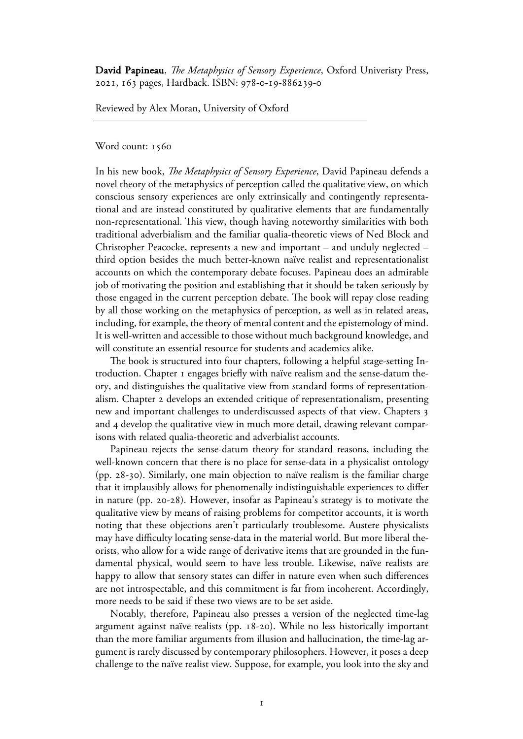David Papineau, *!e Metaphysics of Sensory Experience*, Oxford Univeristy Press, 2021, 163 pages, Hardback. ISBN: 978-0-19-886239-0

Reviewed by Alex Moran, University of Oxford

Word count: 1560

In his new book, *The Metaphysics of Sensory Experience*, David Papineau defends a novel theory of the metaphysics of perception called the qualitative view, on which conscious sensory experiences are only extrinsically and contingently representational and are instead constituted by qualitative elements that are fundamentally non-representational. This view, though having noteworthy similarities with both traditional adverbialism and the familiar qualia-theoretic views of Ned Block and Christopher Peacocke, represents a new and important – and unduly neglected – third option besides the much better-known naïve realist and representationalist accounts on which the contemporary debate focuses. Papineau does an admirable job of motivating the position and establishing that it should be taken seriously by those engaged in the current perception debate. The book will repay close reading by all those working on the metaphysics of perception, as well as in related areas, including, for example, the theory of mental content and the epistemology of mind. It is well-written and accessible to those without much background knowledge, and will constitute an essential resource for students and academics alike.

The book is structured into four chapters, following a helpful stage-setting Introduction. Chapter I engages briefly with naïve realism and the sense-datum theory, and distinguishes the qualitative view from standard forms of representationalism. Chapter develops an extended critique of representationalism, presenting new and important challenges to underdiscussed aspects of that view. Chapters and 4 develop the qualitative view in much more detail, drawing relevant comparisons with related qualia-theoretic and adverbialist accounts.

 Papineau rejects the sense-datum theory for standard reasons, including the well-known concern that there is no place for sense-data in a physicalist ontology (pp.  $28-30$ ). Similarly, one main objection to naïve realism is the familiar charge that it implausibly allows for phenomenally indistinguishable experiences to differ in nature (pp. 20-28). However, insofar as Papineau's strategy is to motivate the qualitative view by means of raising problems for competitor accounts, it is worth noting that these objections aren't particularly troublesome. Austere physicalists may have difficulty locating sense-data in the material world. But more liberal theorists, who allow for a wide range of derivative items that are grounded in the fundamental physical, would seem to have less trouble. Likewise, naïve realists are happy to allow that sensory states can differ in nature even when such differences are not introspectable, and this commitment is far from incoherent. Accordingly, more needs to be said if these two views are to be set aside.

 Notably, therefore, Papineau also presses a version of the neglected time-lag argument against naïve realists (pp. 18-20). While no less historically important than the more familiar arguments from illusion and hallucination, the time-lag argument is rarely discussed by contemporary philosophers. However, it poses a deep challenge to the naïve realist view. Suppose, for example, you look into the sky and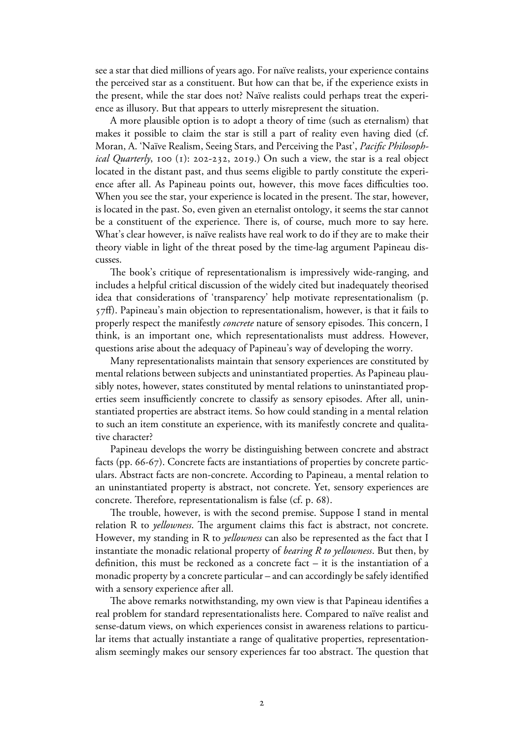see a star that died millions of years ago. For naïve realists, your experience contains the perceived star as a constituent. But how can that be, if the experience exists in the present, while the star does not? Naïve realists could perhaps treat the experience as illusory. But that appears to utterly misrepresent the situation.

 A more plausible option is to adopt a theory of time (such as eternalism) that makes it possible to claim the star is still a part of reality even having died (cf. Moran, A. 'Naïve Realism, Seeing Stars, and Perceiving the Past', *Pacific Philosophical Quarterly*, 100 (1): 202-232, 2019.) On such a view, the star is a real object located in the distant past, and thus seems eligible to partly constitute the experience after all. As Papineau points out, however, this move faces difficulties too. When you see the star, your experience is located in the present. The star, however, is located in the past. So, even given an eternalist ontology, it seems the star cannot be a constituent of the experience. There is, of course, much more to say here. What's clear however, is naïve realists have real work to do if they are to make their theory viable in light of the threat posed by the time-lag argument Papineau discusses.

The book's critique of representationalism is impressively wide-ranging, and includes a helpful critical discussion of the widely cited but inadequately theorised idea that considerations of 'transparency' help motivate representationalism (p.  $57$ ff). Papineau's main objection to representationalism, however, is that it fails to properly respect the manifestly *concrete* nature of sensory episodes. This concern, I think, is an important one, which representationalists must address. However, questions arise about the adequacy of Papineau's way of developing the worry.

 Many representationalists maintain that sensory experiences are constituted by mental relations between subjects and uninstantiated properties. As Papineau plausibly notes, however, states constituted by mental relations to uninstantiated properties seem insufficiently concrete to classify as sensory episodes. After all, uninstantiated properties are abstract items. So how could standing in a mental relation to such an item constitute an experience, with its manifestly concrete and qualitative character?

 Papineau develops the worry be distinguishing between concrete and abstract facts (pp.  $66-67$ ). Concrete facts are instantiations of properties by concrete particulars. Abstract facts are non-concrete. According to Papineau, a mental relation to an uninstantiated property is abstract, not concrete. Yet, sensory experiences are concrete. Therefore, representationalism is false (cf. p.  $68$ ).

The trouble, however, is with the second premise. Suppose I stand in mental relation R to *yellowness*. The argument claims this fact is abstract, not concrete. However, my standing in R to *yellowness* can also be represented as the fact that I instantiate the monadic relational property of *bearing R to yellowness*. But then, by definition, this must be reckoned as a concrete fact – it is the instantiation of a monadic property by a concrete particular – and can accordingly be safely identified with a sensory experience after all.

The above remarks notwithstanding, my own view is that Papineau identifies a real problem for standard representationalists here. Compared to naïve realist and sense-datum views, on which experiences consist in awareness relations to particular items that actually instantiate a range of qualitative properties, representationalism seemingly makes our sensory experiences far too abstract. The question that